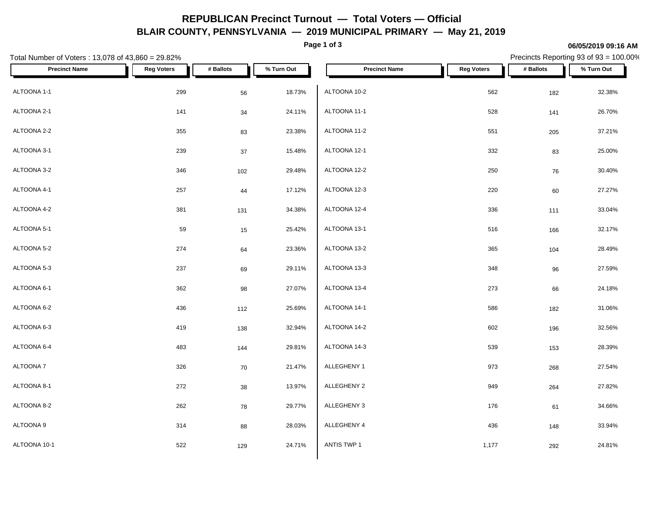## **REPUBLICAN Precinct Turnout — Total Voters — Official BLAIR COUNTY, PENNSYLVANIA — 2019 MUNICIPAL PRIMARY — May 21, 2019**

**Page 1 of 3**

#### **06/05/2019 09:16 AM**

Precincts Reporting 93 of 93 = 100.00%

| Total Number of Voters: 13,078 of 43,860 = 29.82% |                   |           |            |                      |                   | Precincts Reporting 93 of 93 = 100.00% |            |  |  |
|---------------------------------------------------|-------------------|-----------|------------|----------------------|-------------------|----------------------------------------|------------|--|--|
| <b>Precinct Name</b>                              | <b>Reg Voters</b> | # Ballots | % Turn Out | <b>Precinct Name</b> | <b>Reg Voters</b> | # Ballots                              | % Turn Out |  |  |
| ALTOONA 1-1                                       | 299               | 56        | 18.73%     | ALTOONA 10-2         | 562               | 182                                    | 32.38%     |  |  |
| ALTOONA 2-1                                       | $141$             | 34        | 24.11%     | ALTOONA 11-1         | 528               | 141                                    | 26.70%     |  |  |
| ALTOONA 2-2                                       | 355               | 83        | 23.38%     | ALTOONA 11-2         | 551               | 205                                    | 37.21%     |  |  |
| ALTOONA 3-1                                       | 239               | 37        | 15.48%     | ALTOONA 12-1         | 332               | 83                                     | 25.00%     |  |  |
| ALTOONA 3-2                                       | 346               | 102       | 29.48%     | ALTOONA 12-2         | 250               | 76                                     | 30.40%     |  |  |
| ALTOONA 4-1                                       | 257               | 44        | 17.12%     | ALTOONA 12-3         | 220               | 60                                     | 27.27%     |  |  |
| ALTOONA 4-2                                       | 381               | 131       | 34.38%     | ALTOONA 12-4         | 336               | 111                                    | 33.04%     |  |  |
| ALTOONA 5-1                                       | 59                | 15        | 25.42%     | ALTOONA 13-1         | 516               | 166                                    | 32.17%     |  |  |
| ALTOONA 5-2                                       | 274               | 64        | 23.36%     | ALTOONA 13-2         | 365               | 104                                    | 28.49%     |  |  |
| ALTOONA 5-3                                       | 237               | 69        | 29.11%     | ALTOONA 13-3         | 348               | 96                                     | 27.59%     |  |  |
| ALTOONA 6-1                                       | 362               | 98        | 27.07%     | ALTOONA 13-4         | 273               | 66                                     | 24.18%     |  |  |
| ALTOONA 6-2                                       | 436               | 112       | 25.69%     | ALTOONA 14-1         | 586               | 182                                    | 31.06%     |  |  |
| ALTOONA 6-3                                       | 419               | 138       | 32.94%     | ALTOONA 14-2         | 602               | 196                                    | 32.56%     |  |  |
| ALTOONA 6-4                                       | 483               | 144       | 29.81%     | ALTOONA 14-3         | 539               | 153                                    | 28.39%     |  |  |
| ALTOONA 7                                         | 326               | 70        | 21.47%     | ALLEGHENY 1          | 973               | 268                                    | 27.54%     |  |  |
| ALTOONA 8-1                                       | 272               | 38        | 13.97%     | ALLEGHENY 2          | 949               | 264                                    | 27.82%     |  |  |
| ALTOONA 8-2                                       | 262               | 78        | 29.77%     | ALLEGHENY 3          | 176               | 61                                     | 34.66%     |  |  |
| ALTOONA 9                                         | 314               | 88        | 28.03%     | ALLEGHENY 4          | 436               | 148                                    | 33.94%     |  |  |
| ALTOONA 10-1                                      | 522               | 129       | 24.71%     | ANTIS TWP 1          | 1,177             | 292                                    | 24.81%     |  |  |
|                                                   |                   |           |            |                      |                   |                                        |            |  |  |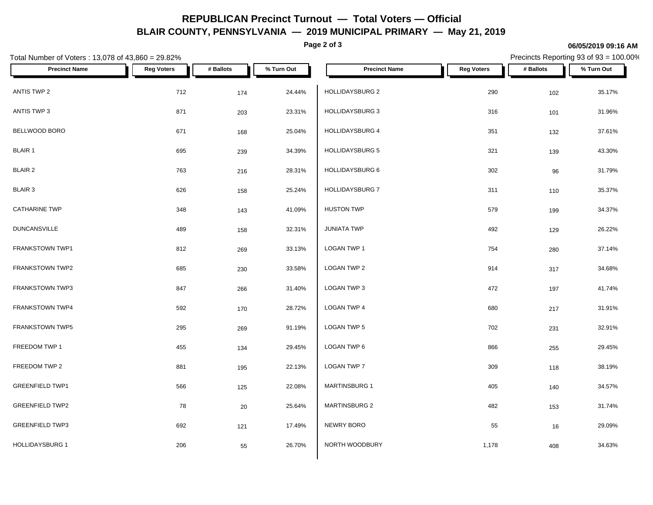## **REPUBLICAN Precinct Turnout — Total Voters — Official BLAIR COUNTY, PENNSYLVANIA — 2019 MUNICIPAL PRIMARY — May 21, 2019**

**Page 2 of 3**

#### **06/05/2019 09:16 AM**

Precincts Reporting 93 of 93 = 100.00%

| Total Number of Voters: 13,078 of 43,860 = 29.82% |                   |           |            |                        |                   | Precincts Reporting 93 of 93 = 100.00% |            |  |
|---------------------------------------------------|-------------------|-----------|------------|------------------------|-------------------|----------------------------------------|------------|--|
| <b>Precinct Name</b>                              | <b>Reg Voters</b> | # Ballots | % Turn Out | <b>Precinct Name</b>   | <b>Reg Voters</b> | # Ballots                              | % Turn Out |  |
| ANTIS TWP 2                                       | 712               | 174       | 24.44%     | HOLLIDAYSBURG 2        | 290               | 102                                    | 35.17%     |  |
| ANTIS TWP 3                                       | 871               | 203       | 23.31%     | HOLLIDAYSBURG 3        | 316               | 101                                    | 31.96%     |  |
| BELLWOOD BORO                                     | 671               | 168       | 25.04%     | <b>HOLLIDAYSBURG 4</b> | 351               | 132                                    | 37.61%     |  |
| <b>BLAIR 1</b>                                    | 695               | 239       | 34.39%     | HOLLIDAYSBURG 5        | 321               | 139                                    | 43.30%     |  |
| BLAIR 2                                           | 763               | 216       | 28.31%     | HOLLIDAYSBURG 6        | 302               | 96                                     | 31.79%     |  |
| <b>BLAIR 3</b>                                    | 626               | 158       | 25.24%     | HOLLIDAYSBURG 7        | 311               | 110                                    | 35.37%     |  |
| <b>CATHARINE TWP</b>                              | 348               | 143       | 41.09%     | <b>HUSTON TWP</b>      | 579               | 199                                    | 34.37%     |  |
| <b>DUNCANSVILLE</b>                               | 489               | 158       | 32.31%     | <b>JUNIATA TWP</b>     | 492               | 129                                    | 26.22%     |  |
| FRANKSTOWN TWP1                                   | 812               | 269       | 33.13%     | LOGAN TWP 1            | 754               | 280                                    | 37.14%     |  |
| FRANKSTOWN TWP2                                   | 685               | 230       | 33.58%     | LOGAN TWP 2            | 914               | 317                                    | 34.68%     |  |
| <b>FRANKSTOWN TWP3</b>                            | 847               | 266       | 31.40%     | LOGAN TWP 3            | 472               | 197                                    | 41.74%     |  |
| FRANKSTOWN TWP4                                   | 592               | 170       | 28.72%     | LOGAN TWP 4            | 680               | 217                                    | 31.91%     |  |
| FRANKSTOWN TWP5                                   | 295               | 269       | 91.19%     | LOGAN TWP 5            | 702               | 231                                    | 32.91%     |  |
| FREEDOM TWP 1                                     | 455               | 134       | 29.45%     | LOGAN TWP 6            | 866               | 255                                    | 29.45%     |  |
| FREEDOM TWP 2                                     | 881               | 195       | 22.13%     | LOGAN TWP 7            | 309               | 118                                    | 38.19%     |  |
| <b>GREENFIELD TWP1</b>                            | 566               | 125       | 22.08%     | <b>MARTINSBURG 1</b>   | 405               | 140                                    | 34.57%     |  |
| <b>GREENFIELD TWP2</b>                            | 78                | 20        | 25.64%     | <b>MARTINSBURG 2</b>   | 482               | 153                                    | 31.74%     |  |
| <b>GREENFIELD TWP3</b>                            | 692               | 121       | 17.49%     | NEWRY BORO             | 55                | 16                                     | 29.09%     |  |
| <b>HOLLIDAYSBURG 1</b>                            | 206               | 55        | 26.70%     | NORTH WOODBURY         | 1,178             | 408                                    | 34.63%     |  |
|                                                   |                   |           |            |                        |                   |                                        |            |  |